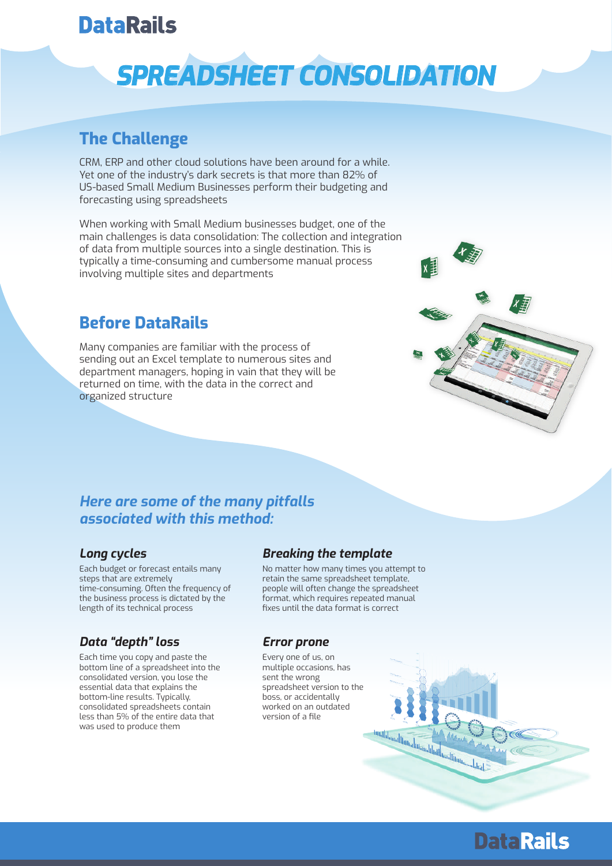## **DataRails**

# *SPREADSHEET CONSOLIDATION*

### **The Challenge**

CRM, ERP and other cloud solutions have been around for a while. Yet one of the industry's dark secrets is that more than 82% of US-based Small Medium Businesses perform their budgeting and forecasting using spreadsheets

When working with Small Medium businesses budget, one of the main challenges is data consolidation: The collection and integration of data from multiple sources into a single destination. This is typically a time-consuming and cumbersome manual process involving multiple sites and departments

### **Before DataRails**

Many companies are familiar with the process of sending out an Excel template to numerous sites and department managers, hoping in vain that they will be returned on time, with the data in the correct and organized structure



### *Here are some of the many pitfalls associated with this method:*

#### *Long cycles*

Each budget or forecast entails many steps that are extremely time-consuming. Often the frequency of the business process is dictated by the length of its technical process

#### *Data "depth" loss*

Each time you copy and paste the bottom line of a spreadsheet into the consolidated version, you lose the essential data that explains the bottom-line results. Typically, consolidated spreadsheets contain less than 5% of the entire data that was used to produce them

#### *Breaking the template*

No matter how many times you attempt to retain the same spreadsheet template, people will often change the spreadsheet format, which requires repeated manual fixes until the data format is correct

#### *Error prone*

Every one of us, on multiple occasions, has sent the wrong spreadsheet version to the boss, or accidentally worked on an outdated version of a file